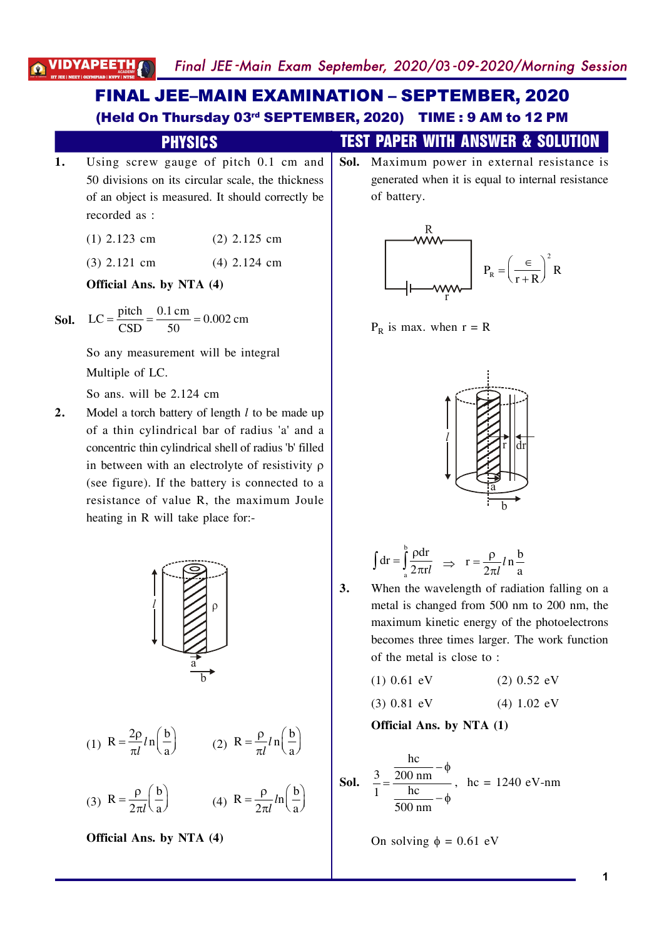# **FINAL JEE-MAIN EXAMINATION - SEPTEMBER, 2020** (Held On Thursday 03rd SEPTEMBER, 2020) TIME: 9 AM to 12 PM

### **PHYSICS**

- Using screw gauge of pitch 0.1 cm and  $1.$ 50 divisions on its circular scale, the thickness of an object is measured. It should correctly be recorded as :
	- $(1)$  2.123 cm  $(2)$  2.125 cm
	- $(3)$  2.121 cm  $(4)$  2.124 cm

Official Ans. by NTA (4)

**Sol.** LC = 
$$
\frac{\text{pitch}}{\text{CSD}} = \frac{0.1 \text{ cm}}{50} = 0.002 \text{ cm}
$$

So any measurement will be integral Multiple of LC.

So ans. will be 2.124 cm

Model a torch battery of length  $l$  to be made up  $2.$ of a thin cylindrical bar of radius 'a' and a concentric thin cylindrical shell of radius 'b' filled in between with an electrolyte of resistivity  $\rho$ (see figure). If the battery is connected to a resistance of value R, the maximum Joule heating in R will take place for:-



(1) 
$$
R = \frac{2\rho}{\pi l} ln\left(\frac{b}{a}\right)
$$
 (2)  $R = \frac{\rho}{\pi l} ln\left(\frac{b}{a}\right)$ 

(3) 
$$
R = \frac{\rho}{2\pi l} \left(\frac{b}{a}\right)
$$
 (4)  $R = \frac{\rho}{2\pi l} ln \left(\frac{b}{a}\right)$ 

Official Ans. by NTA (4)

## **TEST PAPER WITH ANSWER & SOLUTION**

Sol. Maximum power in external resistance is generated when it is equal to internal resistance of battery.



 $P_R$  is max. when  $r = R$ 



$$
\int dr = \int_{a}^{b} \frac{\rho dr}{2\pi r l} \Rightarrow r = \frac{\rho}{2\pi l} ln \frac{b}{a}
$$

 $3.$ 

When the wavelength of radiation falling on a metal is changed from 500 nm to 200 nm, the maximum kinetic energy of the photoelectrons becomes three times larger. The work function of the metal is close to:

 $(1)$  0.61 eV  $(2)$  0.52 eV

$$
(3) 0.81 eV \t(4) 1.02 eV
$$

Official Ans. by NTA (1)

**Sol.** 
$$
\frac{3}{1} = \frac{\frac{hc}{200 \text{ nm}} - \phi}{\frac{hc}{500 \text{ nm}} - \phi}
$$
,  $hc = 1240 \text{ eV-nm}$ 

On solving  $\phi = 0.61$  eV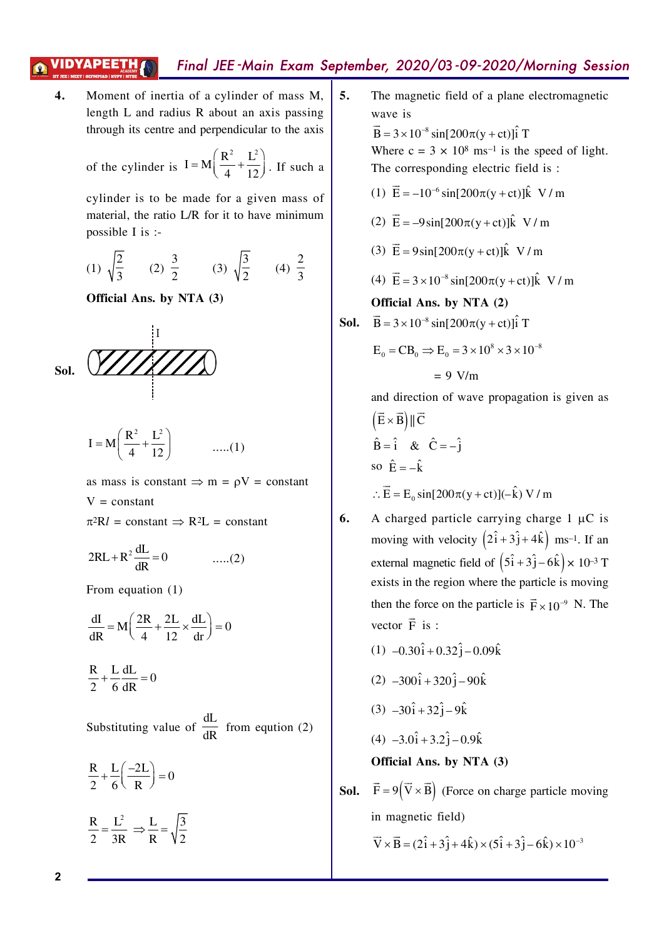# Final JEE-Main Exam September, 2020/03-09-2020/Morning Session

 $\overline{4}$ . Moment of inertia of a cylinder of mass M, length L and radius R about an axis passing through its centre and perpendicular to the axis

of the cylinder is 
$$
I = M \left( \frac{R^2}{4} + \frac{L^2}{12} \right)
$$
. If such a

cylinder is to be made for a given mass of material, the ratio L/R for it to have minimum possible I is :-

(1) 
$$
\sqrt{\frac{2}{3}}
$$
 (2)  $\frac{3}{2}$  (3)  $\sqrt{\frac{3}{2}}$  (4)  $\frac{2}{3}$ 

Official Ans. by NTA (3)





as mass is constant  $\Rightarrow$  m =  $\rho$ V = constant  $V = constant$  $2D<sub>1</sub>$ ıf

$$
\pi^2 Kl = \text{constant} \Rightarrow R^2 L = \text{constant}
$$

$$
2RL + R^2 \frac{dL}{dR} = 0
$$
 ......(2)

From equation  $(1)$ 

$$
\frac{dI}{dR} = M \left( \frac{2R}{4} + \frac{2L}{12} \times \frac{dL}{dr} \right) = 0
$$

$$
\frac{R}{2} + \frac{L}{6} \frac{dL}{dR} = 0
$$

Substituting value of  $\frac{dL}{dR}$  from eqution (2)

$$
\frac{R}{2} + \frac{L}{6} \left( \frac{-2L}{R} \right) = 0
$$

$$
\frac{R}{2} = \frac{L^2}{3R} \Rightarrow \frac{L}{R} = \sqrt{\frac{3}{2}}
$$

5. The magnetic field of a plane electromagnetic wave is  $\vec{B} = 3 \times 10^{-8} \sin[200\pi (y + ct)]\hat{i}$  T

Where  $c = 3 \times 10^8$  ms<sup>-1</sup> is the speed of light. The corresponding electric field is:

- (1)  $\vec{E} = -10^{-6} \sin[200\pi (y + ct)]\hat{k}$  V/m
- (2)  $\vec{E} = -9\sin[200\pi(v+ct)]\hat{k}$  V/m
- (3)  $\vec{E} = 9\sin[200\pi(v+ct)]\hat{k}$  V/m

(4) 
$$
\vec{E} = 3 \times 10^{-8} \sin[200\pi(y+ct)]\hat{k}
$$
 V/m

### Official Ans. by NTA (2)

**Sol.** 
$$
\vec{B} = 3 \times 10^{-8} \sin[200\pi(y + ct)]\hat{i}
$$
 T

$$
E_0 = CB_0 \Rightarrow E_0 = 3 \times 10^8 \times 3 \times 10^{-8}
$$

$$
= 9
$$
 V/m

and direction of wave propagation is given as

$$
(\vec{E} \times \vec{B}) \parallel \vec{C}
$$
  
\n
$$
\hat{B} = \hat{i} \& \hat{C} = -\hat{j}
$$
  
\nso  $\hat{E} = -\hat{k}$   
\n
$$
\therefore \vec{E} = E_0 \sin[200\pi(y + ct)](-\hat{k}) \text{ V/m}
$$

- 6. A charged particle carrying charge  $1 \mu C$  is moving with velocity  $(2\hat{i} + 3\hat{j} + 4\hat{k})$  ms<sup>-1</sup>. If an external magnetic field of  $(5\hat{i} + 3\hat{j} - 6\hat{k}) \times 10^{-3}$  T exists in the region where the particle is moving then the force on the particle is  $\vec{F} \times 10^{-9}$  N. The vector  $\vec{F}$  is :
	- $(1)$  -0.30 $\hat{i}$  + 0.32 $\hat{j}$  0.09 $\hat{k}$
	- $(2)$  -300 $\hat{i}$  + 320 $\hat{j}$  90 $\hat{k}$
	- $(3)$   $-30\hat{i} + 32\hat{j} 9\hat{k}$

$$
(4) -3.0\hat{i} + 3.2\hat{j} - 0.9\hat{k}
$$

**Sol.**  $\vec{F} = 9(\vec{V} \times \vec{B})$  (Force on charge particle moving in magnetic field)

 $\vec{V} \times \vec{B} = (2\hat{i} + 3\hat{j} + 4\hat{k}) \times (5\hat{i} + 3\hat{j} - 6\hat{k}) \times 10^{-3}$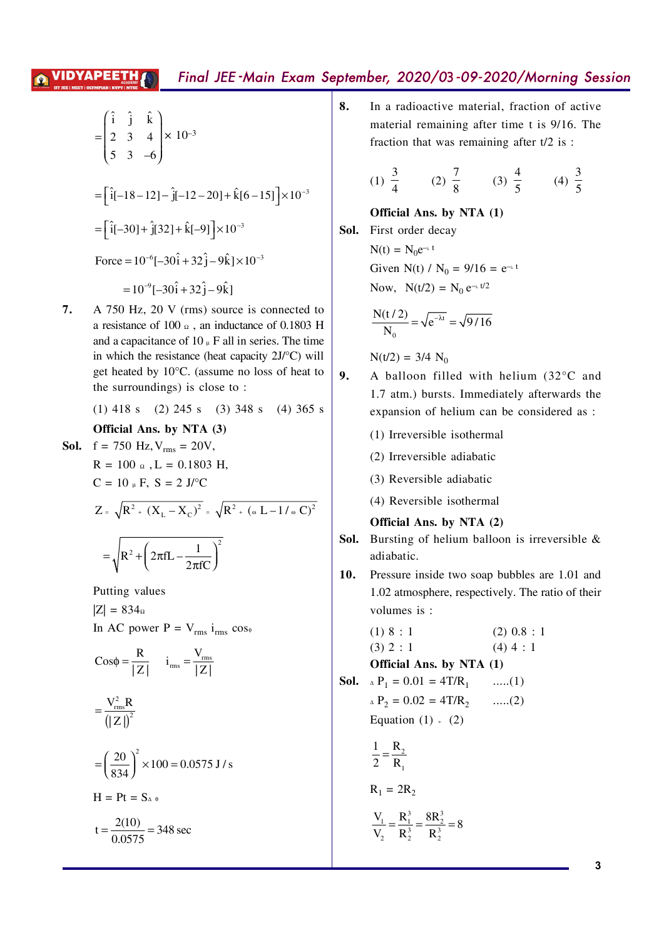### Final JEE-Main Exam September, 2020/03-09-2020/Morning Session /IDYAPEETH

$$
\begin{pmatrix}\n\hat{\mathbf{i}} & \hat{\mathbf{j}} & \hat{\mathbf{k}} \\
2 & 3 & 4 \times 10^{-3} \\
5 & 3 & -6\n\end{pmatrix}
$$
\n=
$$
\begin{bmatrix}\n\hat{\mathbf{i}}[-18-12]-\hat{\mathbf{j}}[-12-20]+\hat{\mathbf{k}}[6-15]\n\end{bmatrix}\times10^{-3}
$$
\n
$$
\begin{bmatrix}\n\hat{\mathbf{i}}[-30] & \hat{\mathbf{j}}[32] & \hat{\mathbf{k}}[-9]\n\end{bmatrix}\times10^{-3}
$$
\nForce  $10^{-6}[-30\hat{\mathbf{i}} \quad 32\hat{\mathbf{j}}-9\hat{\mathbf{k}}]\times10^{-3}$   
\n $10^{-6}[-30\hat{\mathbf{i}} \quad 32\hat{\mathbf{j}}-9\hat{\mathbf{k}}]\times10^{-3}$ 

7. A 750 Hz, 20 V (rms) source is connected to a resistance of 100  $\Omega$ , an inductance of 0.1803 H and a capacitance of  $10 \mu$  F all in series. The time in which the resistance (heat capacity  $2J$ <sup>o</sup>C) will get heated by  $10^{\circ}$ C. (assume no loss of heat to the surroundings) is close to:

(1) 418 s (2) 245 s (3) 348 s (4) 365 s

Official Ans. by NTA (3)

Sol.

f = 750 Hz, V<sub>rms</sub> = 20V,  
\nR = 100 
$$
\omega
$$
, L = 0.1803 H,  
\nC = 10  $\mu$  F, S = 2 J°C  
\nZ  $\sqrt{R^2 (X_L - X_C)^2} \sqrt{R^2 (\omega L - 1/\omega C)^2}$   
\n $\sqrt{R^2 (2\pi fL - \frac{1}{2\pi fC})^2}$ 

Putting values

 $|Z| = 834<sub>0</sub>$ In AC power  $P = V_{rms} i_{rms} \cos \phi$ 

Cos  $\varphi$   $\frac{R}{|Z|}$   $i_{\text{rms}}$   $\frac{V_{\text{rms}}}{|Z|}$  $\frac{V_{\text{rms}}^2 R}{|Z|^{2}}$  $=\left(\frac{20}{834}\right)^2 \times 100$  0.0575 J/s  $H = Pt = S<sub>A</sub> \theta$ 

t  $\frac{2(10)}{0.0575}$  348 sec

8. In a radioactive material, fraction of active material remaining after time t is 9/16. The fraction that was remaining after  $t/2$  is :

(1) 
$$
\frac{3}{4}
$$
 (2)  $\frac{7}{8}$  (3)  $\frac{4}{5}$  (4)  $\frac{3}{5}$ 

Official Ans. by NTA (1)

Sol. First order decay  $N(t) = N_0 e^{-\lambda t}$ Given N(t) / N<sub>0</sub> = 9/16 =  $e^{-\lambda t}$ Now,  $N(t/2) = N_0 e^{-\lambda t/2}$ 

$$
\frac{N(t/2)}{N_0} \quad \sqrt{e^{-\lambda t}} \quad \sqrt{9/16}
$$

 $N(t/2) = 3/4 N_0$ 

- 9. A balloon filled with helium (32°C and 1.7 atm.) bursts. Immediately afterwards the expansion of helium can be considered as :
	- (1) Irreversible isothermal
	- (2) Irreversible adiabatic
	- (3) Reversible adiabatic
	- (4) Reversible isothermal

Official Ans. by NTA (2)

- Bursting of helium balloon is irreversible & Sol. adiabatic.
- Pressure inside two soap bubbles are 1.01 and 10. 1.02 atmosphere, respectively. The ratio of their volumes is:

(1) 8 : 1 (2) 0.8 : 1  
\n(3) 2 : 1 (4) 4 : 1  
\n**Official Ans. by NTA (1)**  
\n**Sol.** 
$$
{}_{\Delta}P_1 = 0.01 = 4T/R_1
$$
 ......(1)  
\n ${}_{\Delta}P_2 = 0.02 = 4T/R_2$  ......(2)  
\nEquation (1) + (2)  
\n $\frac{1}{2} \frac{R_2}{R_1}$   
\n $R_1 = 2R_2$   
\n $\frac{V_1}{V_2} \frac{R_1^3}{R_2^3} \frac{8R_2^3}{R_2^3} 8$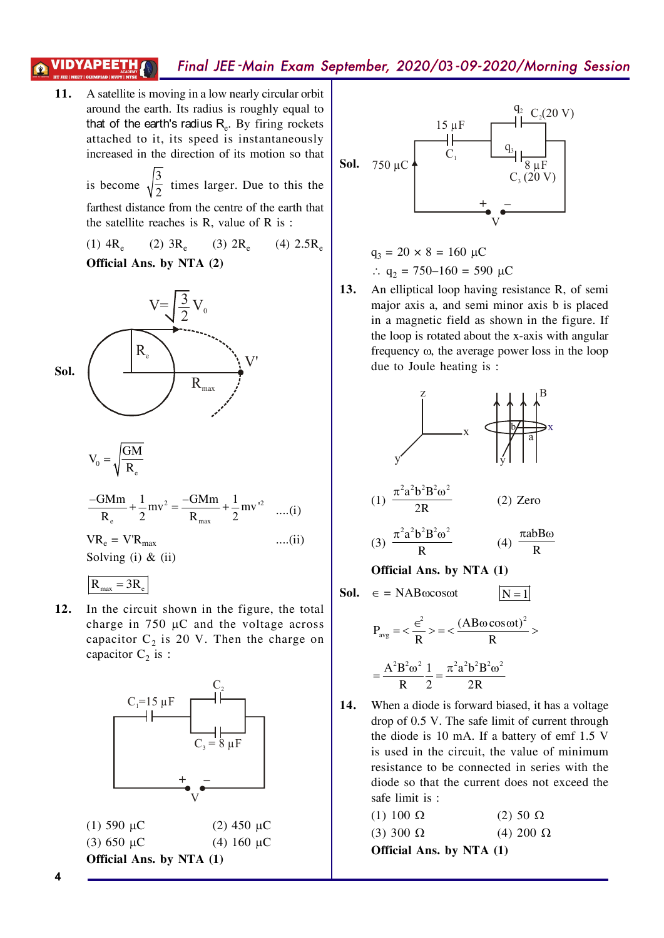#### VIDYAPEETH Final JEE-Main Exam September, 2020/03-09-2020/Morning Session

A satellite is moving in a low nearly circular orbit  $11.$ around the earth. Its radius is roughly equal to that of the earth's radius  $R_e$ . By firing rockets attached to it, its speed is instantaneously increased in the direction of its motion so that is become  $\sqrt{\frac{3}{2}}$  times larger. Due to this the

> farthest distance from the centre of the earth that the satellite reaches is R, value of R is:

> $(1)$  4R<sub>e</sub>  $(2) 3R<sub>e</sub>$  $(3) 2R<sub>e</sub>$  $(4)$  2.5R<sub>e</sub> Official Ans. by NTA (2)



$$
V_0 = \sqrt{\frac{GM}{R_e}}
$$

$$
\frac{-GMm}{R_e} + \frac{1}{2}mv^2 = \frac{-GMm}{R_{max}} + \frac{1}{2}mv^{2} \quad \dots (i)
$$

 $\dots$ (ii)

 $VR_e = V'R_{max}$ Solving  $(i)$  &  $(ii)$ 

$$
R_{\text{max}} = 3R_e
$$

 $12.$ In the circuit shown in the figure, the total charge in 750  $\mu$ C and the voltage across capacitor  $C_2$  is 20 V. Then the charge on capacitor  $C_2$  is :





$$
q_3 = 20 \times 8 = 160 \mu C
$$
  
 $\therefore q_2 = 750 - 160 = 590 \mu C$ 

An elliptical loop having resistance R, of semi 13. major axis a, and semi minor axis b is placed in a magnetic field as shown in the figure. If the loop is rotated about the x-axis with angular frequency  $\omega$ , the average power loss in the loop due to Joule heating is :



$$
= \frac{A^2 B^2 \omega^2}{R} \frac{1}{2} = \frac{\pi^2 a^2 b^2 B^2 \omega^2}{2R}
$$

14. When a diode is forward biased, it has a voltage drop of 0.5 V. The safe limit of current through the diode is 10 mA. If a battery of emf 1.5 V is used in the circuit, the value of minimum resistance to be connected in series with the diode so that the current does not exceed the safe limit is :

| $(1)$ 100 $\Omega$              | $(2)$ 50 $\Omega$ |
|---------------------------------|-------------------|
| $(3)$ 300 $\Omega$              | (4) 200 $\Omega$  |
| <b>Official Ans. by NTA (1)</b> |                   |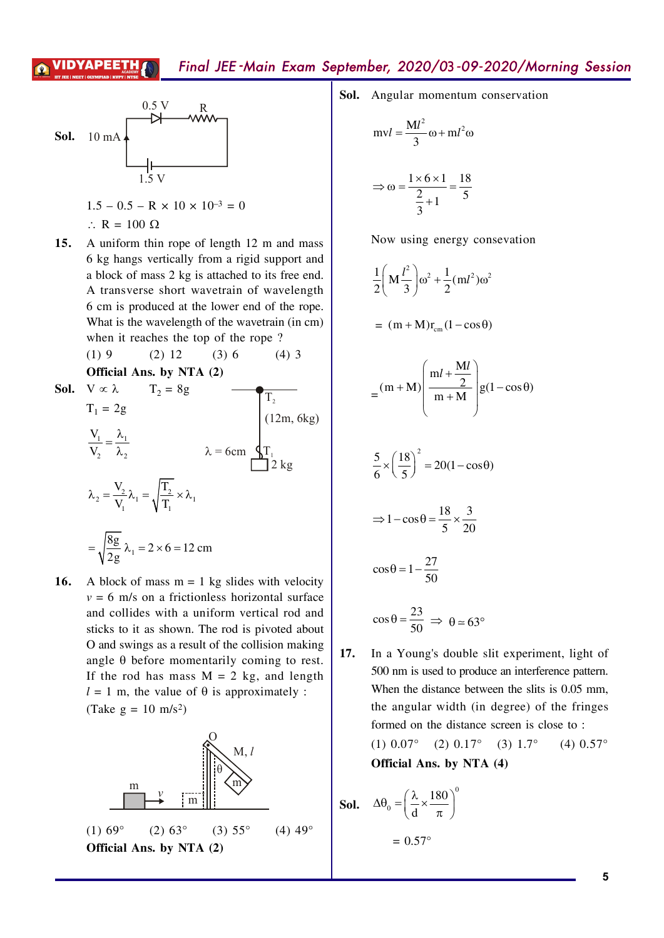### Final JEE-Main Exam September, 2020/03-09-2020/Morning Session





Sol. Angular momentum conservation

$$
mvl = \frac{Ml^2}{3}\omega + ml^2\omega
$$

$$
\Rightarrow \omega = \frac{1 \times 6 \times 1}{\frac{2}{3} + 1} = \frac{18}{5}
$$

Now using energy consevation

$$
\frac{1}{2}\left(M\frac{l^2}{3}\right)\omega^2 + \frac{1}{2}(ml^2)\omega^2
$$

$$
= (m + M)r_{cm}(1 - \cos\theta)
$$

$$
= (m+M)\left(\frac{ml+\frac{Ml}{2}}{m+M}\right)g(1-\cos\theta)
$$

$$
\frac{5}{6} \times \left(\frac{18}{5}\right)^2 = 20(1 - \cos\theta)
$$

$$
\Rightarrow 1 - \cos \theta = \frac{18}{5} \times \frac{3}{20}
$$

$$
\cos\theta = 1 - \frac{27}{50}
$$

$$
\cos \theta = \frac{23}{50} \implies \theta \approx 63^{\circ}
$$

In a Young's double slit experiment, light of 17. 500 nm is used to produce an interference pattern. When the distance between the slits is 0.05 mm, the angular width (in degree) of the fringes formed on the distance screen is close to:  $(1) 0.07^\circ$  $(2)$  0.17°  $(3)$  1.7°  $(4)$  0.57° Official Ans. by NTA (4)

**Sol.** 
$$
\Delta \theta_0 = \left(\frac{\lambda}{d} \times \frac{180}{\pi}\right)^0
$$

$$
= 0.57^\circ
$$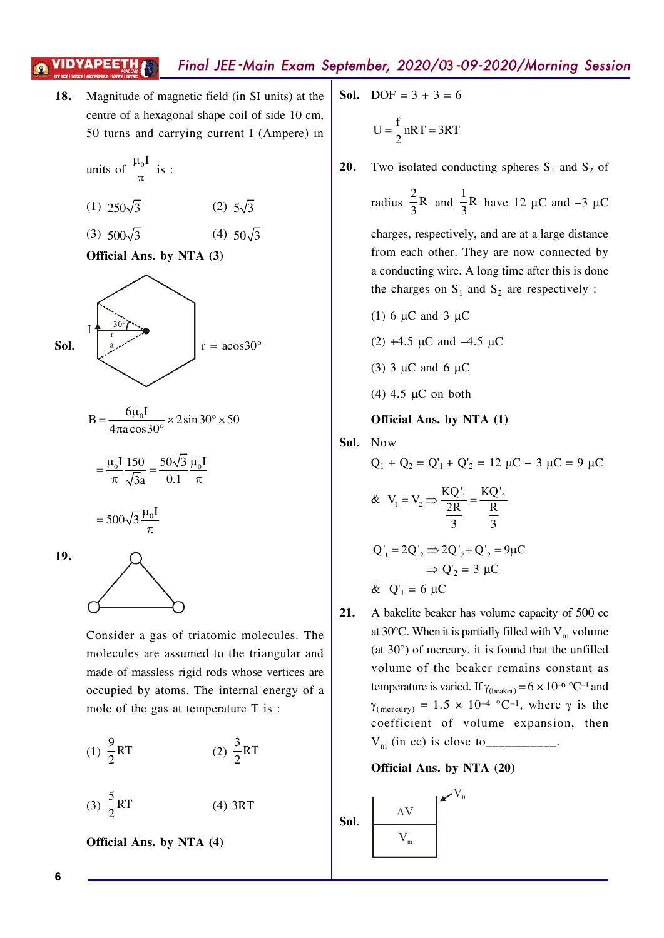# Final JEE -Main Exam September, 2020/03-09-2020/Morning Session

**18.** Magnitude of magnetic field (in SI units) at the centre of a hexagonal shape coil of side  $10$  cm,  $50$  turns and carrying current I (Ampere) in

units of 
$$
\frac{\mu_0 I}{\pi}
$$
 is :

$$
(1) 250\sqrt{3} \qquad (2) 5\sqrt{3}
$$

 $(3)$  500 $\sqrt{3}$   $(4)$  50 $\sqrt{3}$ 

**Official Ans. by NTA (3)**



$$
B = \frac{6\mu_0 I}{4\pi a \cos 30^\circ} \times 2\sin 30^\circ \times 50
$$

$$
= \frac{\mu_0 I}{\pi} \frac{150}{\sqrt{3}a} = \frac{50\sqrt{3}}{0.1} \frac{\mu_0 I}{\pi}
$$

 $= 500\sqrt{3} \frac{\mu}{ }$  $\pi$  $500\sqrt{3} \frac{\mu_0 I}{\mu_0}$ 

**19.**



Consider a gas of triatomic molecules. The molecules are assumed to the triangular and made of massless rigid rods whose vertices are occupied by atoms. The internal energy of a mole of the gas at temperature  $T$  is:

(1) 
$$
\frac{9}{2}
$$
RT (2)  $\frac{3}{2}$ RT

$$
(3) \frac{5}{2}RT \t(4) 3RT
$$

**Official Ans. by NTA (4)**

- **Sol.**  $DOF = 3 + 3 = 6$  $U = \frac{f}{2} nRT = 3RT$ /
- **20.** Two isolated conducting spheres  $S_1$  and  $S_2$  of

radius  $\frac{2}{5}R$  $\frac{1}{3}R$  and  $\frac{1}{2}R$  $\frac{1}{3}R$  have 12  $\mu$ C and -3  $\mu$ C

charges, respectively, and are at a large distance from each other. They are now connected by a conducting wire. A long time after this is done the charges on  $S_1$  and  $S_2$  are respectively:

- (1) 6  $\mu$ C and 3  $\mu$ C
- (2) +4.5  $\mu$ C and -4.5  $\mu$ C
- (3)  $3 \mu$ C and 6  $\mu$ C
- (4) 4.5  $\mu$ C on both

**Official Ans. by NTA (1)**

**Sol.** Kow

$$
Q_1 + Q_2 = Q'_1 + Q'_2 = 12 \mu C - 3 \mu C = 9 \mu C
$$

& 
$$
V_1 = V_2 \Rightarrow \frac{KQ'_1}{2R} = \frac{KQ'_2}{\frac{R}{3}}
$$
  
 $Q'_1 = 2Q'_2 \Rightarrow 2Q'_2 + Q'_2 = 9\mu C$   
 $\Rightarrow Q'_2 = 3 \mu C$ 

&  $Q'_1 = 6 \mu C$ 

21. A bakelite beaker has volume capacity of 500 cc at 30°C. When it is partially filled with  $V_m$  volume (at  $30^\circ$ ) of mercury, it is found that the unfilled volume of the beaker remains constant as temperature is varied. If  $\gamma_{\text{(beaker)}} = 6 \times 10^{-6} \text{ °C}^{-1}$  and  $\gamma_{\text{(mercury)}} = 1.5 \times 10^{-4} \text{ °C}^{-1}$ , where  $\gamma$  is the coefficient of volume expansion, then Sm%fn``&fs`iosbto\\\\\\\\\\\+



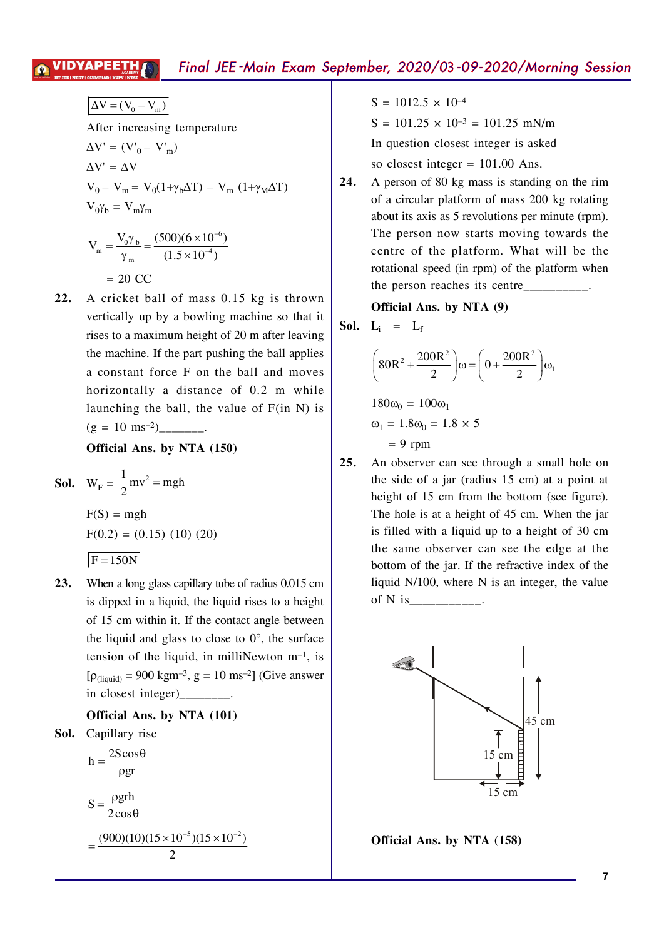$$
\Delta V = (V_0 - V_m)
$$
  
After increasing temperature  

$$
\Delta V' = (V'_0 - V'_m)
$$

$$
\Delta V' = \Delta V
$$

$$
V_0 - V_m = V_0(1 + \gamma_b \Delta T) - V_m (1 + \gamma_M \Delta T)
$$

$$
V_0 \gamma_b = V_m \gamma_m
$$

$$
V_m = \frac{V_0 \gamma_b}{\gamma_m} = \frac{(500)(6 \times 10^{-6})}{(1.5 \times 10^{-4})}
$$

$$
= 20 \, \text{CC}
$$

22. A cricket ball of mass 0.15 kg is thrown vertically up by a bowling machine so that it rises to a maximum height of 20 m after leaving the machine. If the part pushing the ball applies a constant force F on the ball and moves horizontally a distance of 0.2 m while launching the ball, the value of  $F(in N)$  is 

Official Ans. by NTA (150)

**Sol.** 
$$
W_F = \frac{1}{2}mv^2 = mgh
$$

 $F(S) = mgh$  $F(0.2) = (0.15) (10) (20)$ 

- $F = 150N$
- When a long glass capillary tube of radius 0.015 cm  $23.$ is dipped in a liquid, the liquid rises to a height of 15 cm within it. If the contact angle between the liquid and glass to close to  $0^{\circ}$ , the surface tension of the liquid, in milliNewton  $m<sup>-1</sup>$ , is  $[\rho_{(liquid)} = 900 \text{ kgm}^{-3}, g = 10 \text{ ms}^{-2}]$  (Give answer in closest integer)

### Official Ans. by NTA (101)

Sol. Capillary rise

$$
h = \frac{2S\cos\theta}{\rho gr}
$$

$$
S = \frac{\rho g r h}{2 \cos \theta}
$$
  
= 
$$
\frac{(900)(10)(15 \times 10^{-5})(15 \times 10^{-2})}{2}
$$

 $S = 1012.5 \times 10^{-4}$ 

 $S = 101.25 \times 10^{-3} = 101.25$  mN/m

In question closest integer is asked

so closest integer =  $101.00$  Ans.

24. A person of 80 kg mass is standing on the rim of a circular platform of mass 200 kg rotating about its axis as 5 revolutions per minute (rpm). The person now starts moving towards the centre of the platform. What will be the rotational speed (in rpm) of the platform when the person reaches its centre\_

Official Ans. by NTA (9)

$$
Sol. \quad L_i = L_i
$$

$$
\left(80R^2 + \frac{200R^2}{2}\right)\omega = \left(0 + \frac{200R^2}{2}\right)\omega_1
$$

 $180\omega_0 = 100\omega_1$  $\omega_1 = 1.8 \omega_0 = 1.8 \times 5$  $= 9$  rpm

 $25.$ An observer can see through a small hole on the side of a jar (radius 15 cm) at a point at height of 15 cm from the bottom (see figure). The hole is at a height of 45 cm. When the jar is filled with a liquid up to a height of 30 cm the same observer can see the edge at the bottom of the jar. If the refractive index of the liquid N/100, where N is an integer, the value 



Official Ans. by NTA (158)